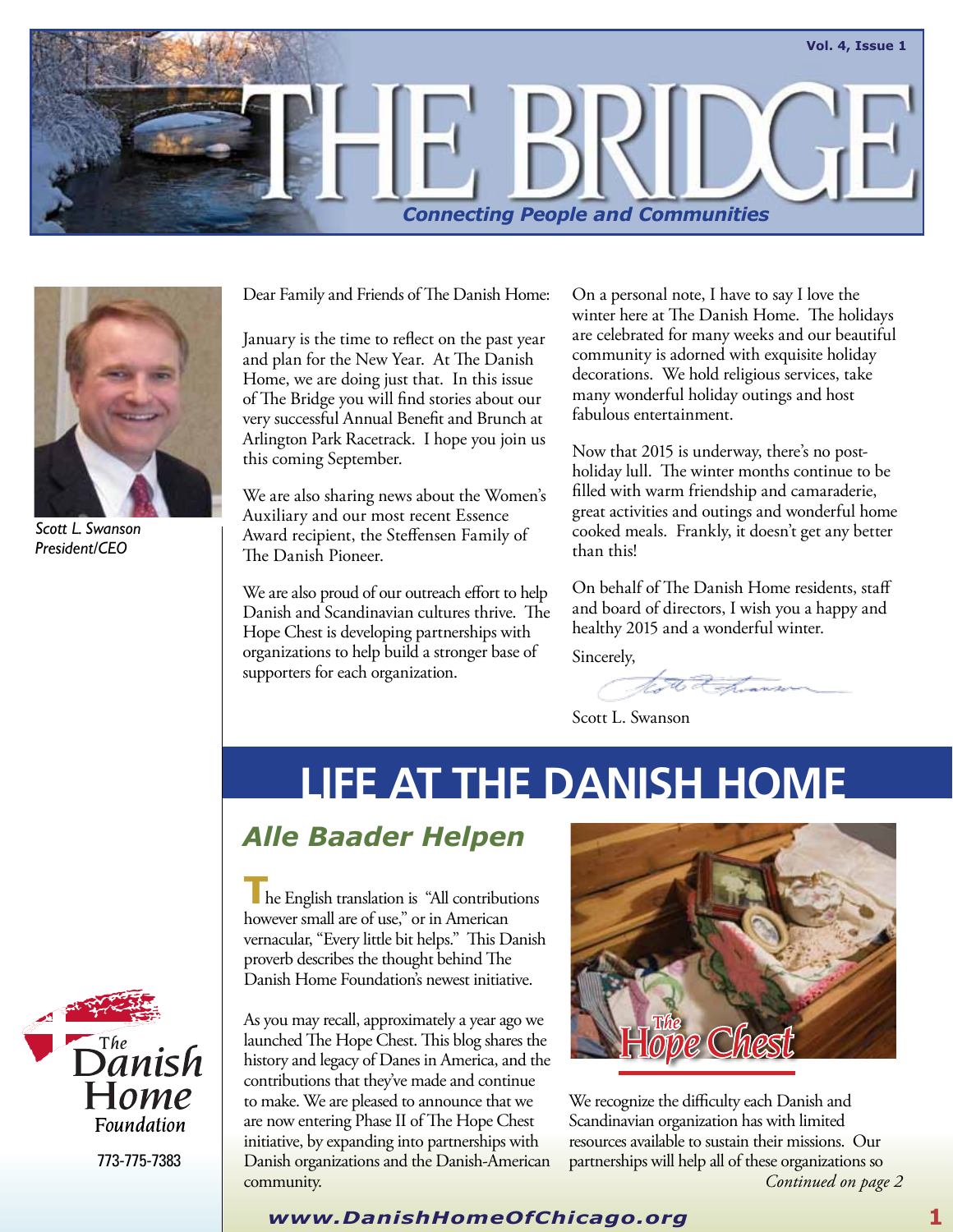



*Scott L. Swanson President/CEO*

Dear Family and Friends of The Danish Home:

January is the time to reflect on the past year and plan for the New Year. At The Danish Home, we are doing just that. In this issue of The Bridge you will find stories about our very successful Annual Benefit and Brunch at Arlington Park Racetrack. I hope you join us this coming September.

We are also sharing news about the Women's Auxiliary and our most recent Essence Award recipient, the Steffensen Family of The Danish Pioneer.

We are also proud of our outreach effort to help Danish and Scandinavian cultures thrive. The Hope Chest is developing partnerships with organizations to help build a stronger base of supporters for each organization.

On a personal note, I have to say I love the winter here at The Danish Home. The holidays are celebrated for many weeks and our beautiful community is adorned with exquisite holiday decorations. We hold religious services, take many wonderful holiday outings and host fabulous entertainment.

Now that 2015 is underway, there's no postholiday lull. The winter months continue to be filled with warm friendship and camaraderie, great activities and outings and wonderful home cooked meals. Frankly, it doesn't get any better than this!

On behalf of The Danish Home residents, staff and board of directors, I wish you a happy and healthy 2015 and a wonderful winter.

Sincerely,

to a how

Scott L. Swanson

# **LIFE AT THE DANISH HOME**

## *Alle Baader Helpen*

**T**he English translation is "All contributions however small are of use," or in American vernacular, "Every little bit helps." This Danish proverb describes the thought behind The Danish Home Foundation's newest initiative.

As you may recall, approximately a year ago we launched The Hope Chest. This blog shares the history and legacy of Danes in America, and the contributions that they've made and continue to make. We are pleased to announce that we are now entering Phase II of The Hope Chest initiative, by expanding into partnerships with Danish organizations and the Danish-American community. *Continued on page 2*



We recognize the difficulty each Danish and Scandinavian organization has with limited resources available to sustain their missions. Our partnerships will help all of these organizations so



773-775-7383

### *www.DanishHomeOfChicago.org* **1**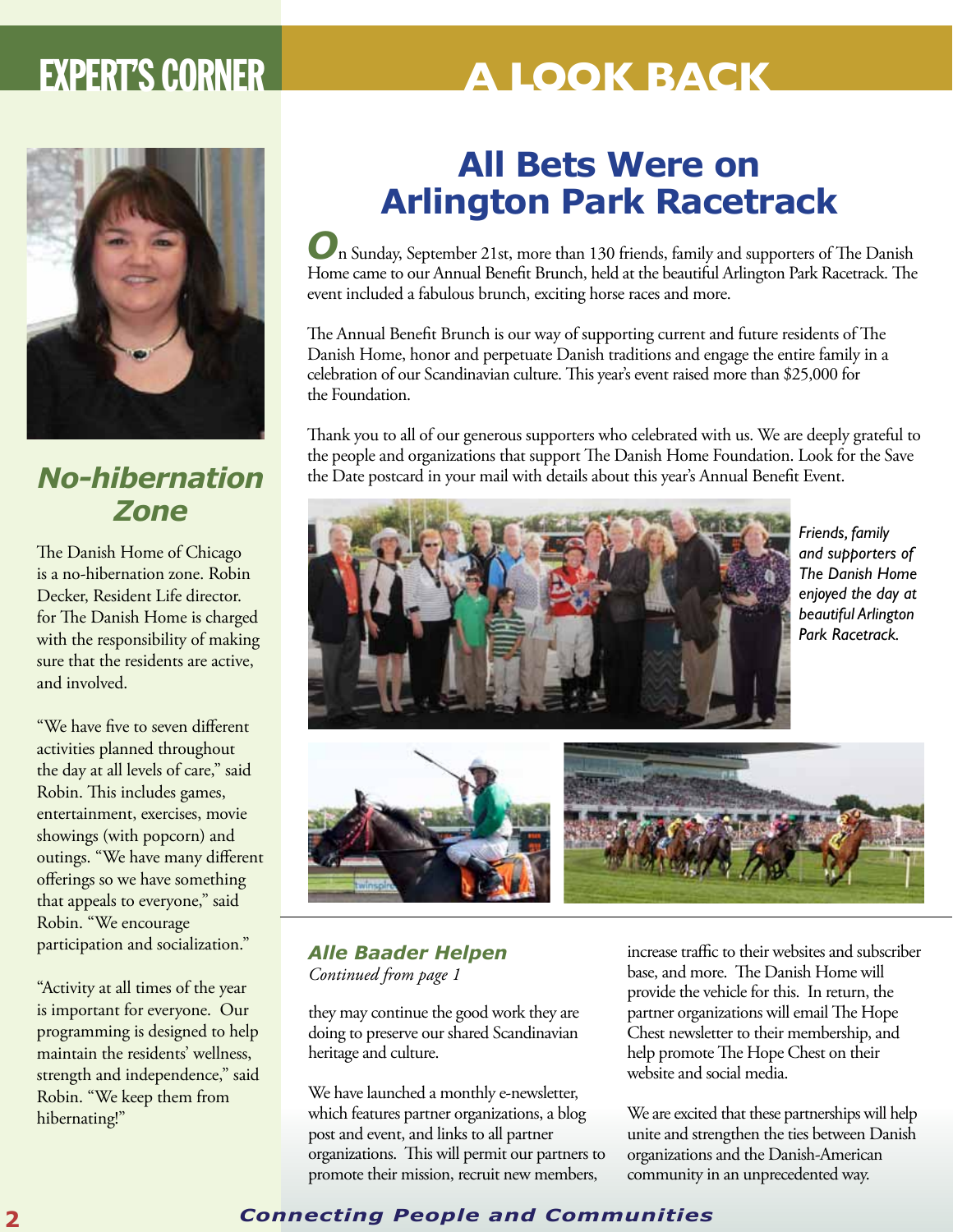# **EXPERT'S CORNER A LOOK BACK**



## *No-hibernation Zone*

The Danish Home of Chicago is a no-hibernation zone. Robin Decker, Resident Life director. for The Danish Home is charged with the responsibility of making sure that the residents are active, and involved.

"We have five to seven different activities planned throughout the day at all levels of care," said Robin. This includes games, entertainment, exercises, movie showings (with popcorn) and outings. "We have many different offerings so we have something that appeals to everyone," said Robin. "We encourage participation and socialization."

"Activity at all times of the year is important for everyone. Our programming is designed to help maintain the residents' wellness, strength and independence," said Robin. "We keep them from hibernating!"

## **All Bets Were on Arlington Park Racetrack**

*O*n Sunday, September 21st, more than 130 friends, family and supporters of The Danish Home came to our Annual Benefit Brunch, held at the beautiful Arlington Park Racetrack. The event included a fabulous brunch, exciting horse races and more.

The Annual Benefit Brunch is our way of supporting current and future residents of The Danish Home, honor and perpetuate Danish traditions and engage the entire family in a celebration of our Scandinavian culture. This year's event raised more than \$25,000 for the Foundation.

Thank you to all of our generous supporters who celebrated with us. We are deeply grateful to the people and organizations that support The Danish Home Foundation. Look for the Save the Date postcard in your mail with details about this year's Annual Benefit Event.



*Friends, family and supporters of The Danish Home enjoyed the day at beautiful Arlington Park Racetrack.*



## *Alle Baader Helpen Continued from page 1*

they may continue the good work they are doing to preserve our shared Scandinavian heritage and culture.

We have launched a monthly e-newsletter, which features partner organizations, a blog post and event, and links to all partner organizations. This will permit our partners to promote their mission, recruit new members,

increase traffic to their websites and subscriber base, and more. The Danish Home will provide the vehicle for this. In return, the partner organizations will email The Hope Chest newsletter to their membership, and help promote The Hope Chest on their website and social media.

We are excited that these partnerships will help unite and strengthen the ties between Danish organizations and the Danish-American community in an unprecedented way.

## **2** *Connecting People and Communities*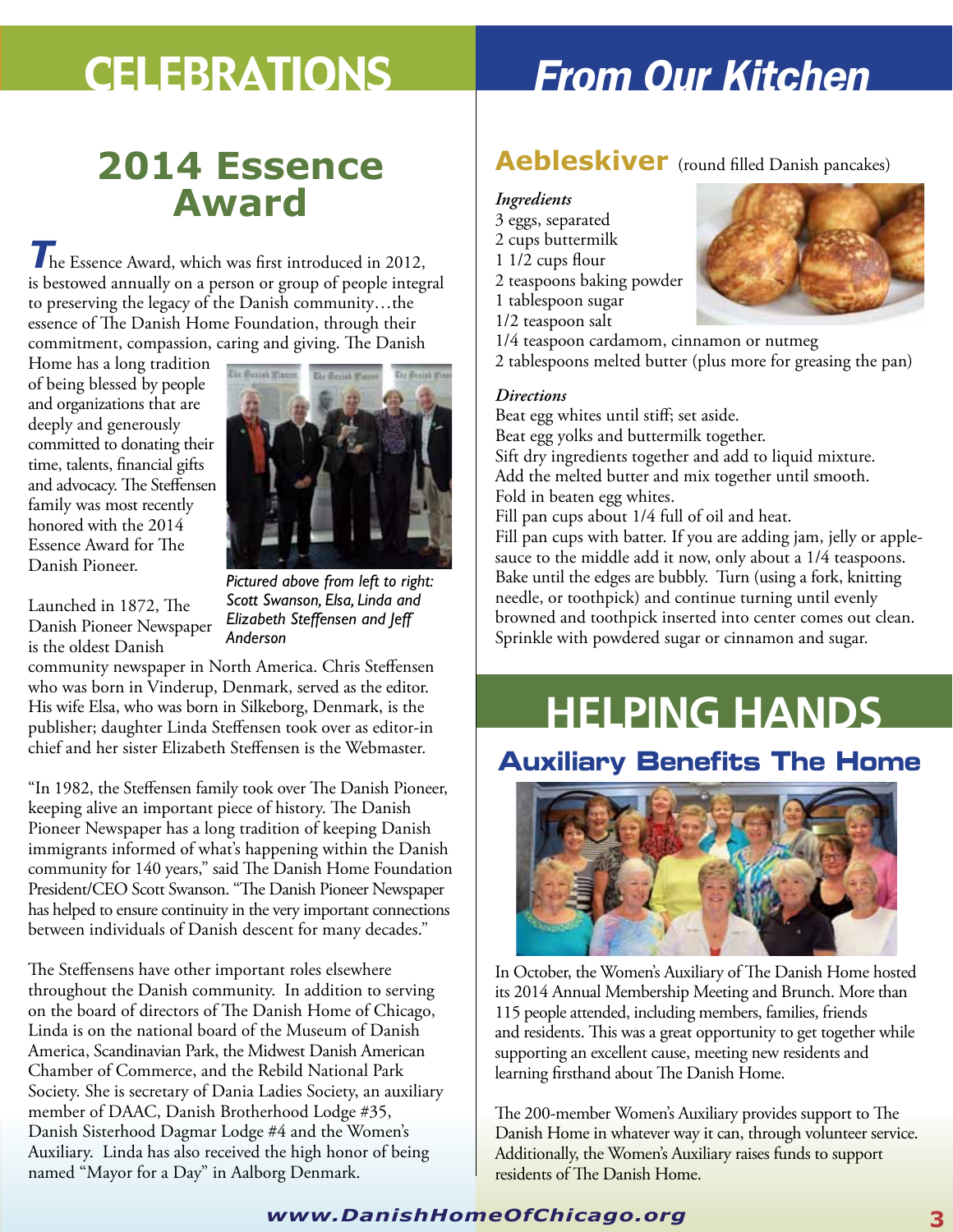## **2014 Essence Award**

*T*he Essence Award, which was first introduced in 2012, is bestowed annually on a person or group of people integral to preserving the legacy of the Danish community…the essence of The Danish Home Foundation, through their commitment, compassion, caring and giving. The Danish

Home has a long tradition of being blessed by people and organizations that are deeply and generously committed to donating their time, talents, financial gifts and advocacy. The Steffensen family was most recently honored with the 2014 Essence Award for The Danish Pioneer.



Launched in 1872, The Danish Pioneer Newspaper is the oldest Danish

*Pictured above from left to right: Scott Swanson, Elsa, Linda and Elizabeth Steffensen and Jeff Anderson*

community newspaper in North America. Chris Steffensen who was born in Vinderup, Denmark, served as the editor. His wife Elsa, who was born in Silkeborg, Denmark, is the publisher; daughter Linda Steffensen took over as editor-in chief and her sister Elizabeth Steffensen is the Webmaster.

"In 1982, the Steffensen family took over The Danish Pioneer, keeping alive an important piece of history. The Danish Pioneer Newspaper has a long tradition of keeping Danish immigrants informed of what's happening within the Danish community for 140 years," said The Danish Home Foundation President/CEO Scott Swanson. "The Danish Pioneer Newspaper has helped to ensure continuity in the very important connections between individuals of Danish descent for many decades."

The Steffensens have other important roles elsewhere throughout the Danish community. In addition to serving on the board of directors of The Danish Home of Chicago, Linda is on the national board of the Museum of Danish America, Scandinavian Park, the Midwest Danish American Chamber of Commerce, and the Rebild National Park Society. She is secretary of Dania Ladies Society, an auxiliary member of DAAC, Danish Brotherhood Lodge #35, Danish Sisterhood Dagmar Lodge #4 and the Women's Auxiliary. Linda has also received the high honor of being named "Mayor for a Day" in Aalborg Denmark.

# Celebrations *From Our Kitchen*

## **Aebleskiver** (round filled Danish pancakes)

#### *Ingredients*

3 eggs, separated 2 cups buttermilk 1 1/2 cups flour 2 teaspoons baking powder 1 tablespoon sugar



1/2 teaspoon salt 1/4 teaspoon cardamom, cinnamon or nutmeg 2 tablespoons melted butter (plus more for greasing the pan)

#### *Directions*

Beat egg whites until stiff; set aside. Beat egg yolks and buttermilk together. Sift dry ingredients together and add to liquid mixture. Add the melted butter and mix together until smooth. Fold in beaten egg whites. Fill pan cups about 1/4 full of oil and heat.

Fill pan cups with batter. If you are adding jam, jelly or applesauce to the middle add it now, only about a 1/4 teaspoons. Bake until the edges are bubbly. Turn (using a fork, knitting needle, or toothpick) and continue turning until evenly browned and toothpick inserted into center comes out clean. Sprinkle with powdered sugar or cinnamon and sugar.

# **HELPING HANDS**

## **Auxiliary Benefits The Home**



In October, the Women's Auxiliary of The Danish Home hosted its 2014 Annual Membership Meeting and Brunch. More than 115 people attended, including members, families, friends and residents. This was a great opportunity to get together while supporting an excellent cause, meeting new residents and learning firsthand about The Danish Home.

The 200-member Women's Auxiliary provides support to The Danish Home in whatever way it can, through volunteer service. Additionally, the Women's Auxiliary raises funds to support residents of The Danish Home.

## *www.DanishHomeOfChicago.org* **3**